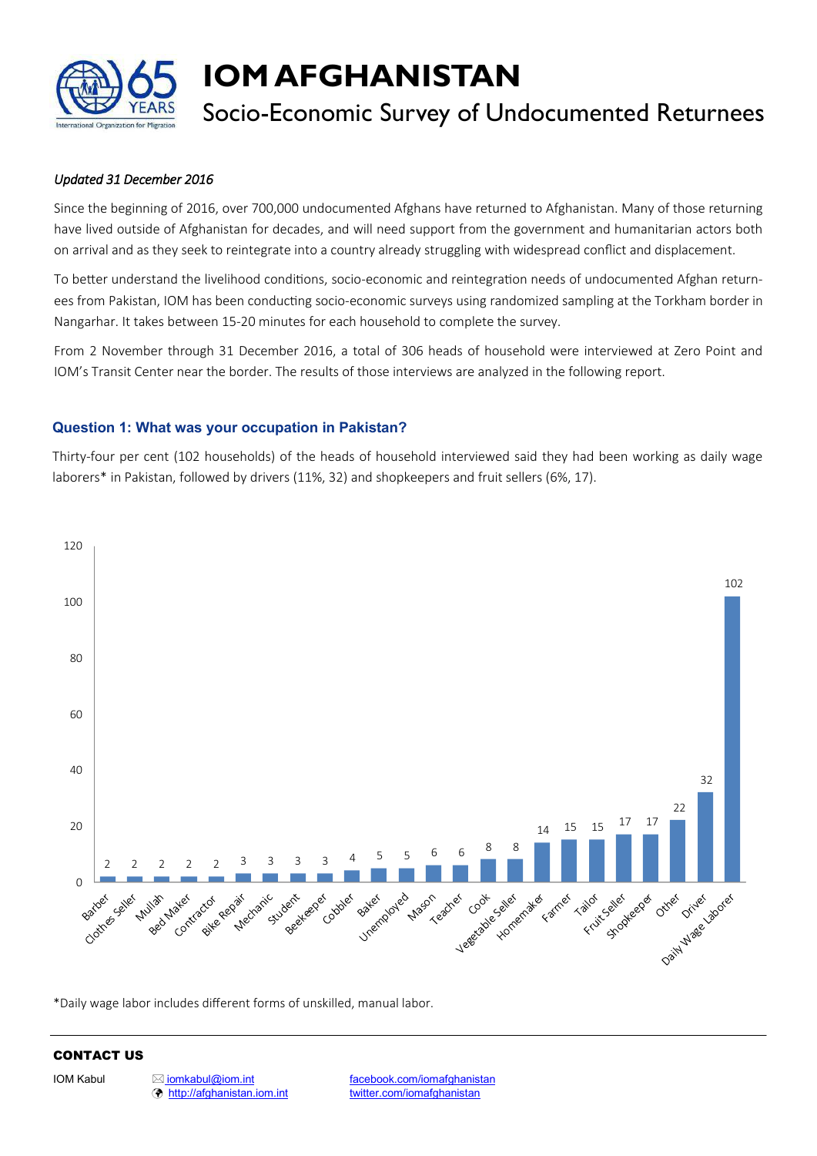

# **IOM AFGHANISTAN**

# Socio-Economic Survey of Undocumented Returnees

# *Updated 31 December 2016*

Since the beginning of 2016, over 700,000 undocumented Afghans have returned to Afghanistan. Many of those returning have lived outside of Afghanistan for decades, and will need support from the government and humanitarian actors both on arrival and as they seek to reintegrate into a country already struggling with widespread conflict and displacement.

To better understand the livelihood conditions, socio-economic and reintegration needs of undocumented Afghan returnees from Pakistan, IOM has been conducting socio-economic surveys using randomized sampling at the Torkham border in Nangarhar. It takes between 15-20 minutes for each household to complete the survey.

From 2 November through 31 December 2016, a total of 306 heads of household were interviewed at Zero Point and IOM's Transit Center near the border. The results of those interviews are analyzed in the following report.

# **Question 1: What was your occupation in Pakistan?**

Thirty-four per cent (102 households) of the heads of household interviewed said they had been working as daily wage laborers\* in Pakistan, followed by drivers (11%, 32) and shopkeepers and fruit sellers (6%, 17).



\*Daily wage labor includes different forms of unskilled, manual labor.

# CONTACT US

<http://afghanistan.iom.int> [twitter.com/iomafghanistan](http://www.twitter.com/iomafghanistan)

IOM Kabul **[iomkabul@iom.int](mailto:iomkabul@iom.int)** [facebook.com/iomafghanistan](http://www.facebook.com/iomafghanistan)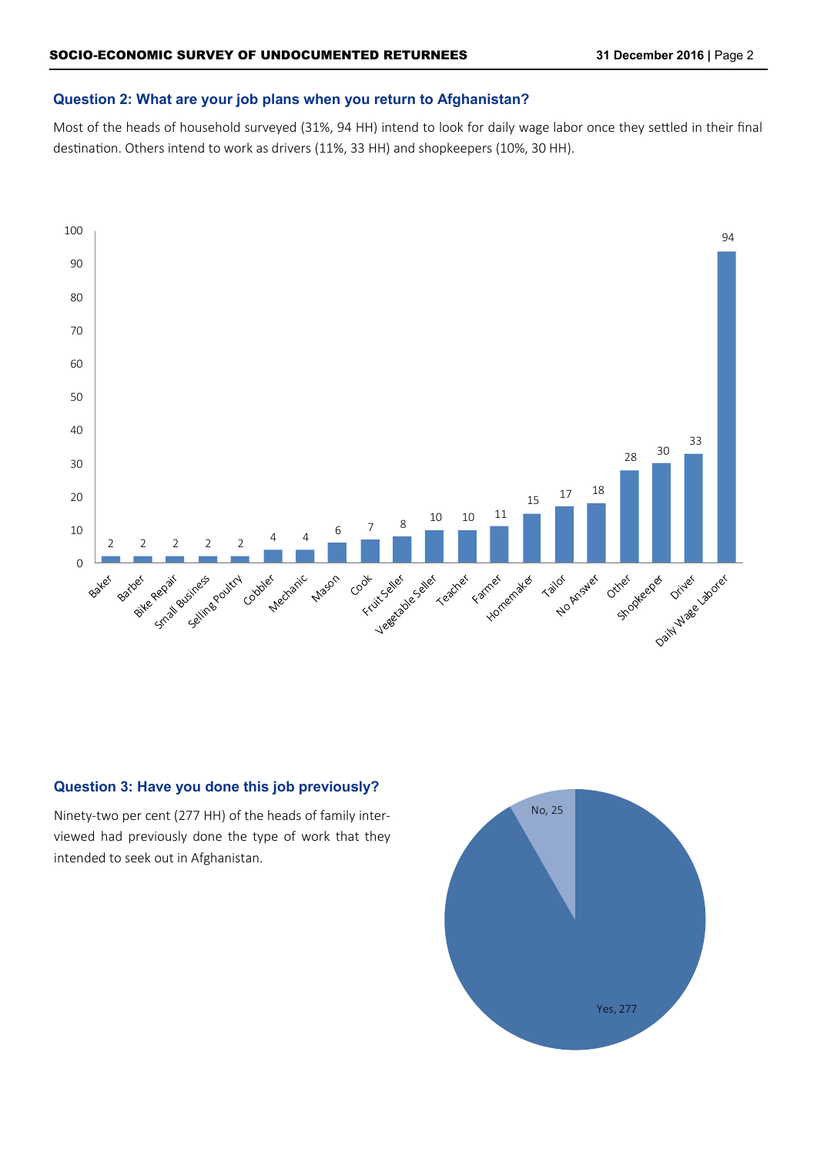#### **Question 2: What are your job plans when you return to Afghanistan?**

Most of the heads of household surveyed (31%, 94 HH) intend to look for daily wage labor once they settled in their final destination. Others intend to work as drivers (11%, 33 HH) and shopkeepers (10%, 30 HH).



# **Question 3: Have you done this job previously?**

Ninety-two per cent (277 HH) of the heads of family interviewed had previously done the type of work that they intended to seek out in Afghanistan.

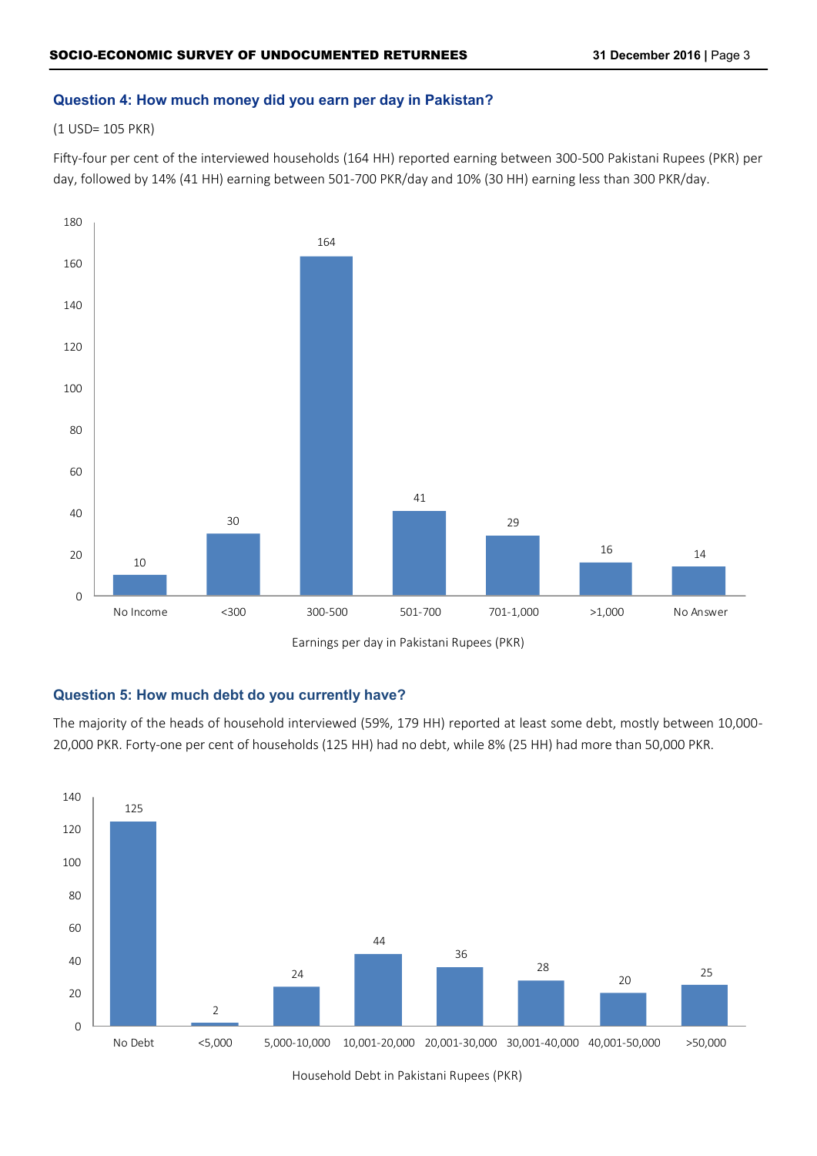# **Question 4: How much money did you earn per day in Pakistan?**

(1 USD= 105 PKR)

Fifty-four per cent of the interviewed households (164 HH) reported earning between 300-500 Pakistani Rupees (PKR) per day, followed by 14% (41 HH) earning between 501-700 PKR/day and 10% (30 HH) earning less than 300 PKR/day.



# **Question 5: How much debt do you currently have?**

The majority of the heads of household interviewed (59%, 179 HH) reported at least some debt, mostly between 10,000- 20,000 PKR. Forty-one per cent of households (125 HH) had no debt, while 8% (25 HH) had more than 50,000 PKR.



Household Debt in Pakistani Rupees (PKR)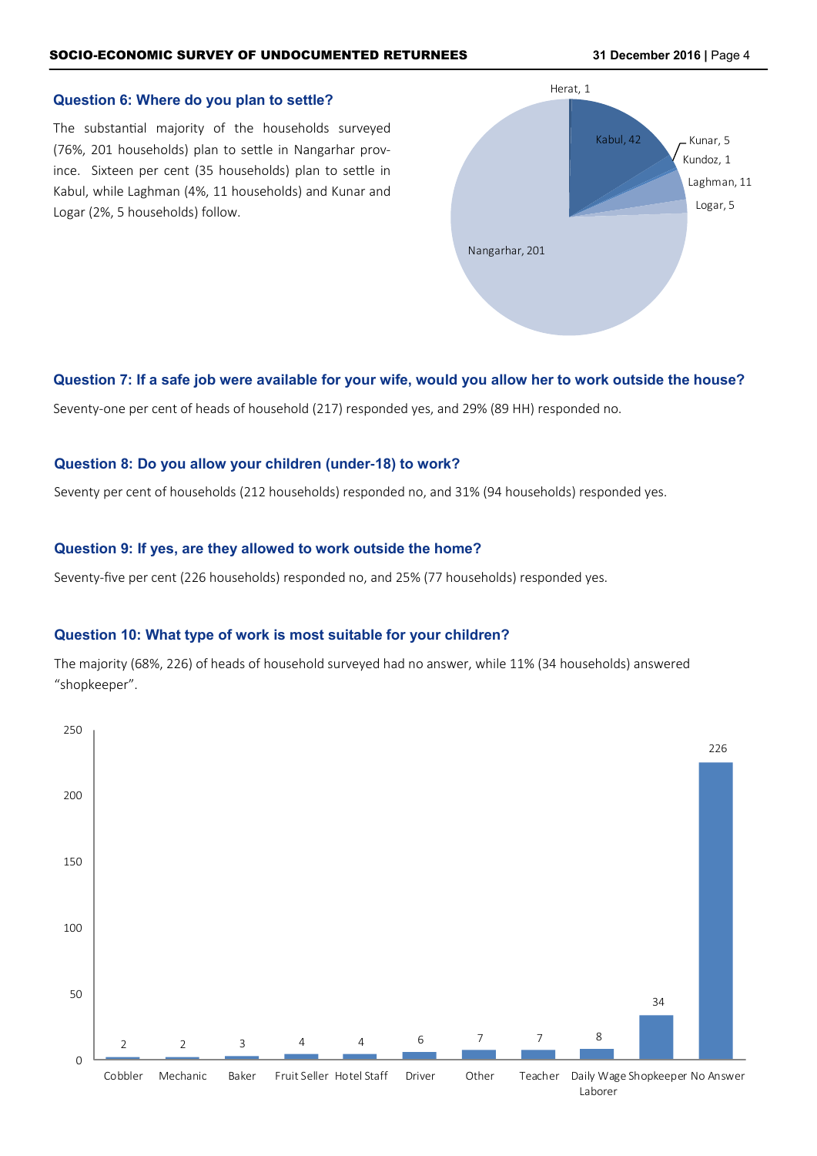#### **Question 6: Where do you plan to settle?**

The substantial majority of the households surveyed (76%, 201 households) plan to settle in Nangarhar province. Sixteen per cent (35 households) plan to settle in Kabul, while Laghman (4%, 11 households) and Kunar and Logar (2%, 5 households) follow.



#### **Question 7: If a safe job were available for your wife, would you allow her to work outside the house?**

Seventy-one per cent of heads of household (217) responded yes, and 29% (89 HH) responded no.

#### **Question 8: Do you allow your children (under-18) to work?**

Seventy per cent of households (212 households) responded no, and 31% (94 households) responded yes.

#### **Question 9: If yes, are they allowed to work outside the home?**

Seventy-five per cent (226 households) responded no, and 25% (77 households) responded yes.

#### **Question 10: What type of work is most suitable for your children?**

The majority (68%, 226) of heads of household surveyed had no answer, while 11% (34 households) answered "shopkeeper".